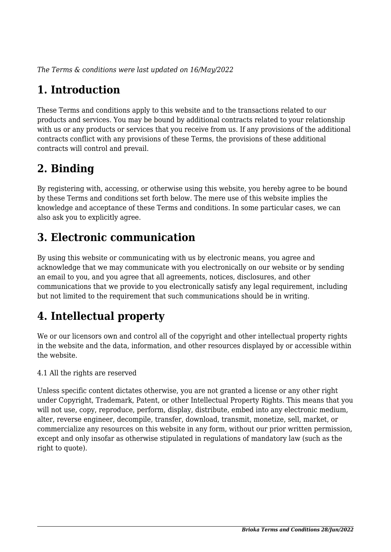*The Terms & conditions were last updated on 16/May/2022*

# **1. Introduction**

These Terms and conditions apply to this website and to the transactions related to our products and services. You may be bound by additional contracts related to your relationship with us or any products or services that you receive from us. If any provisions of the additional contracts conflict with any provisions of these Terms, the provisions of these additional contracts will control and prevail.

## **2. Binding**

By registering with, accessing, or otherwise using this website, you hereby agree to be bound by these Terms and conditions set forth below. The mere use of this website implies the knowledge and acceptance of these Terms and conditions. In some particular cases, we can also ask you to explicitly agree.

## **3. Electronic communication**

By using this website or communicating with us by electronic means, you agree and acknowledge that we may communicate with you electronically on our website or by sending an email to you, and you agree that all agreements, notices, disclosures, and other communications that we provide to you electronically satisfy any legal requirement, including but not limited to the requirement that such communications should be in writing.

# **4. Intellectual property**

We or our licensors own and control all of the copyright and other intellectual property rights in the website and the data, information, and other resources displayed by or accessible within the website.

4.1 All the rights are reserved

Unless specific content dictates otherwise, you are not granted a license or any other right under Copyright, Trademark, Patent, or other Intellectual Property Rights. This means that you will not use, copy, reproduce, perform, display, distribute, embed into any electronic medium, alter, reverse engineer, decompile, transfer, download, transmit, monetize, sell, market, or commercialize any resources on this website in any form, without our prior written permission, except and only insofar as otherwise stipulated in regulations of mandatory law (such as the right to quote).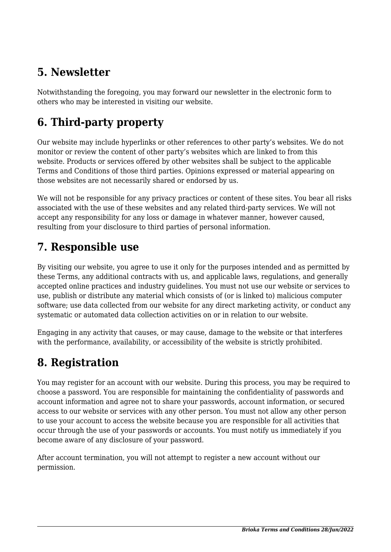## **5. Newsletter**

Notwithstanding the foregoing, you may forward our newsletter in the electronic form to others who may be interested in visiting our website.

# **6. Third-party property**

Our website may include hyperlinks or other references to other party's websites. We do not monitor or review the content of other party's websites which are linked to from this website. Products or services offered by other websites shall be subject to the applicable Terms and Conditions of those third parties. Opinions expressed or material appearing on those websites are not necessarily shared or endorsed by us.

We will not be responsible for any privacy practices or content of these sites. You bear all risks associated with the use of these websites and any related third-party services. We will not accept any responsibility for any loss or damage in whatever manner, however caused, resulting from your disclosure to third parties of personal information.

#### **7. Responsible use**

By visiting our website, you agree to use it only for the purposes intended and as permitted by these Terms, any additional contracts with us, and applicable laws, regulations, and generally accepted online practices and industry guidelines. You must not use our website or services to use, publish or distribute any material which consists of (or is linked to) malicious computer software; use data collected from our website for any direct marketing activity, or conduct any systematic or automated data collection activities on or in relation to our website.

Engaging in any activity that causes, or may cause, damage to the website or that interferes with the performance, availability, or accessibility of the website is strictly prohibited.

#### **8. Registration**

You may register for an account with our website. During this process, you may be required to choose a password. You are responsible for maintaining the confidentiality of passwords and account information and agree not to share your passwords, account information, or secured access to our website or services with any other person. You must not allow any other person to use your account to access the website because you are responsible for all activities that occur through the use of your passwords or accounts. You must notify us immediately if you become aware of any disclosure of your password.

After account termination, you will not attempt to register a new account without our permission.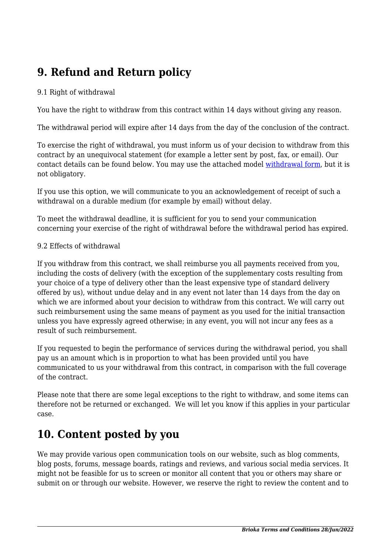## **9. Refund and Return policy**

#### 9.1 Right of withdrawal

You have the right to withdraw from this contract within 14 days without giving any reason.

The withdrawal period will expire after 14 days from the day of the conclusion of the contract.

To exercise the right of withdrawal, you must inform us of your decision to withdraw from this contract by an unequivocal statement (for example a letter sent by post, fax, or email). Our contact details can be found below. You may use the attached model [withdrawal form](https://www.brioka.com/wp-content/uploads/complianz/withdrawal-forms/withdrawal-form-en.pdf), but it is not obligatory.

If you use this option, we will communicate to you an acknowledgement of receipt of such a withdrawal on a durable medium (for example by email) without delay.

To meet the withdrawal deadline, it is sufficient for you to send your communication concerning your exercise of the right of withdrawal before the withdrawal period has expired.

#### 9.2 Effects of withdrawal

If you withdraw from this contract, we shall reimburse you all payments received from you, including the costs of delivery (with the exception of the supplementary costs resulting from your choice of a type of delivery other than the least expensive type of standard delivery offered by us), without undue delay and in any event not later than 14 days from the day on which we are informed about your decision to withdraw from this contract. We will carry out such reimbursement using the same means of payment as you used for the initial transaction unless you have expressly agreed otherwise; in any event, you will not incur any fees as a result of such reimbursement.

If you requested to begin the performance of services during the withdrawal period, you shall pay us an amount which is in proportion to what has been provided until you have communicated to us your withdrawal from this contract, in comparison with the full coverage of the contract.

Please note that there are some legal exceptions to the right to withdraw, and some items can therefore not be returned or exchanged. We will let you know if this applies in your particular case.

#### **10. Content posted by you**

We may provide various open communication tools on our website, such as blog comments, blog posts, forums, message boards, ratings and reviews, and various social media services. It might not be feasible for us to screen or monitor all content that you or others may share or submit on or through our website. However, we reserve the right to review the content and to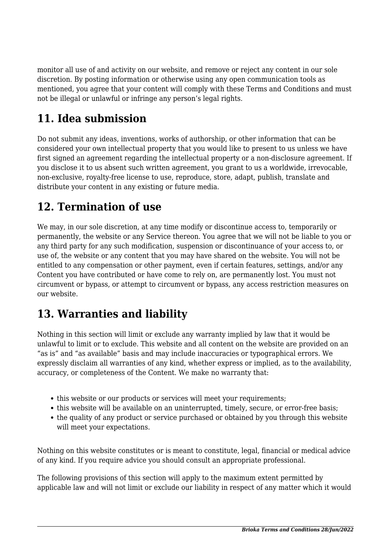monitor all use of and activity on our website, and remove or reject any content in our sole discretion. By posting information or otherwise using any open communication tools as mentioned, you agree that your content will comply with these Terms and Conditions and must not be illegal or unlawful or infringe any person's legal rights.

# **11. Idea submission**

Do not submit any ideas, inventions, works of authorship, or other information that can be considered your own intellectual property that you would like to present to us unless we have first signed an agreement regarding the intellectual property or a non-disclosure agreement. If you disclose it to us absent such written agreement, you grant to us a worldwide, irrevocable, non-exclusive, royalty-free license to use, reproduce, store, adapt, publish, translate and distribute your content in any existing or future media.

### **12. Termination of use**

We may, in our sole discretion, at any time modify or discontinue access to, temporarily or permanently, the website or any Service thereon. You agree that we will not be liable to you or any third party for any such modification, suspension or discontinuance of your access to, or use of, the website or any content that you may have shared on the website. You will not be entitled to any compensation or other payment, even if certain features, settings, and/or any Content you have contributed or have come to rely on, are permanently lost. You must not circumvent or bypass, or attempt to circumvent or bypass, any access restriction measures on our website.

## **13. Warranties and liability**

Nothing in this section will limit or exclude any warranty implied by law that it would be unlawful to limit or to exclude. This website and all content on the website are provided on an "as is" and "as available" basis and may include inaccuracies or typographical errors. We expressly disclaim all warranties of any kind, whether express or implied, as to the availability, accuracy, or completeness of the Content. We make no warranty that:

- this website or our products or services will meet your requirements:
- this website will be available on an uninterrupted, timely, secure, or error-free basis;
- the quality of any product or service purchased or obtained by you through this website will meet your expectations.

Nothing on this website constitutes or is meant to constitute, legal, financial or medical advice of any kind. If you require advice you should consult an appropriate professional.

The following provisions of this section will apply to the maximum extent permitted by applicable law and will not limit or exclude our liability in respect of any matter which it would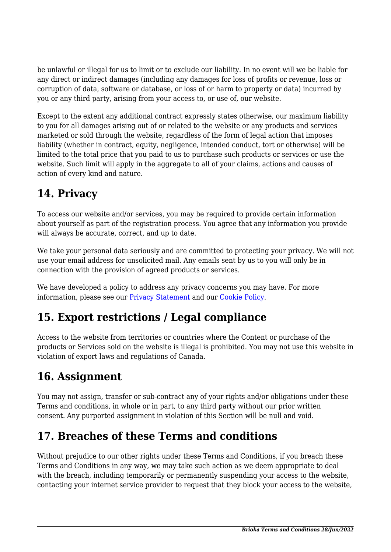be unlawful or illegal for us to limit or to exclude our liability. In no event will we be liable for any direct or indirect damages (including any damages for loss of profits or revenue, loss or corruption of data, software or database, or loss of or harm to property or data) incurred by you or any third party, arising from your access to, or use of, our website.

Except to the extent any additional contract expressly states otherwise, our maximum liability to you for all damages arising out of or related to the website or any products and services marketed or sold through the website, regardless of the form of legal action that imposes liability (whether in contract, equity, negligence, intended conduct, tort or otherwise) will be limited to the total price that you paid to us to purchase such products or services or use the website. Such limit will apply in the aggregate to all of your claims, actions and causes of action of every kind and nature.

# **14. Privacy**

To access our website and/or services, you may be required to provide certain information about yourself as part of the registration process. You agree that any information you provide will always be accurate, correct, and up to date.

We take your personal data seriously and are committed to protecting your privacy. We will not use your email address for unsolicited mail. Any emails sent by us to you will only be in connection with the provision of agreed products or services.

We have developed a policy to address any privacy concerns you may have. For more information, please see our [Privacy Statement](https://www.brioka.com/privacy-statement-ca/?cmplz_region_redirect=true) and our [Cookie Policy](https://www.brioka.com/cookie-policy-ca/?cmplz_region_redirect=true).

## **15. Export restrictions / Legal compliance**

Access to the website from territories or countries where the Content or purchase of the products or Services sold on the website is illegal is prohibited. You may not use this website in violation of export laws and regulations of Canada.

## **16. Assignment**

You may not assign, transfer or sub-contract any of your rights and/or obligations under these Terms and conditions, in whole or in part, to any third party without our prior written consent. Any purported assignment in violation of this Section will be null and void.

## **17. Breaches of these Terms and conditions**

Without prejudice to our other rights under these Terms and Conditions, if you breach these Terms and Conditions in any way, we may take such action as we deem appropriate to deal with the breach, including temporarily or permanently suspending your access to the website, contacting your internet service provider to request that they block your access to the website,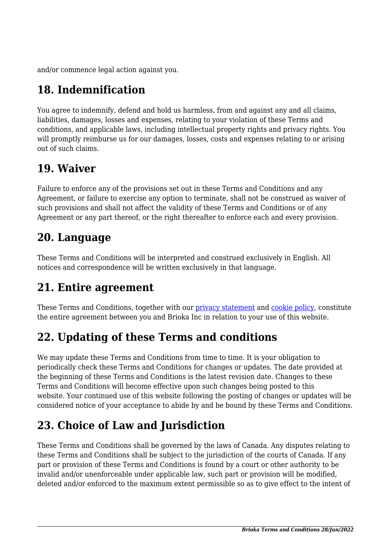and/or commence legal action against you.

# **18. Indemnification**

You agree to indemnify, defend and hold us harmless, from and against any and all claims, liabilities, damages, losses and expenses, relating to your violation of these Terms and conditions, and applicable laws, including intellectual property rights and privacy rights. You will promptly reimburse us for our damages, losses, costs and expenses relating to or arising out of such claims.

#### **19. Waiver**

Failure to enforce any of the provisions set out in these Terms and Conditions and any Agreement, or failure to exercise any option to terminate, shall not be construed as waiver of such provisions and shall not affect the validity of these Terms and Conditions or of any Agreement or any part thereof, or the right thereafter to enforce each and every provision.

#### **20. Language**

These Terms and Conditions will be interpreted and construed exclusively in English. All notices and correspondence will be written exclusively in that language.

#### **21. Entire agreement**

These Terms and Conditions, together with our [privacy statement](https://www.brioka.com/privacy-statement-ca/?cmplz_region_redirect=true) and [cookie policy,](https://www.brioka.com/cookie-policy-ca/?cmplz_region_redirect=true) constitute the entire agreement between you and Brioka Inc in relation to your use of this website.

# **22. Updating of these Terms and conditions**

We may update these Terms and Conditions from time to time. It is your obligation to periodically check these Terms and Conditions for changes or updates. The date provided at the beginning of these Terms and Conditions is the latest revision date. Changes to these Terms and Conditions will become effective upon such changes being posted to this website. Your continued use of this website following the posting of changes or updates will be considered notice of your acceptance to abide by and be bound by these Terms and Conditions.

# **23. Choice of Law and Jurisdiction**

These Terms and Conditions shall be governed by the laws of Canada. Any disputes relating to these Terms and Conditions shall be subject to the jurisdiction of the courts of Canada. If any part or provision of these Terms and Conditions is found by a court or other authority to be invalid and/or unenforceable under applicable law, such part or provision will be modified, deleted and/or enforced to the maximum extent permissible so as to give effect to the intent of